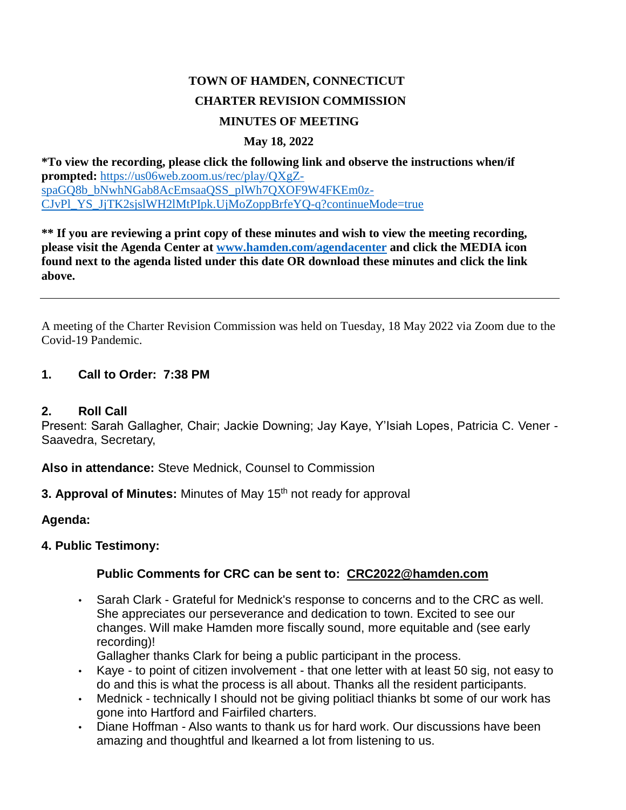# **TOWN OF HAMDEN, CONNECTICUT CHARTER REVISION COMMISSION MINUTES OF MEETING**

#### **May 18, 2022**

**\*To view the recording, please click the following link and observe the instructions when/if prompted:** [https://us06web.zoom.us/rec/play/QXgZ](https://us06web.zoom.us/rec/play/QXgZspaGQ8b_bNwhNGab8AcEmsaaQSS_plWh7QXOF9W4FKEm0z-CJvPl_YS_JjTK2sjslWH2lMtPIpk.UjMoZoppBrfeYQ-q?continueMode=true)[spaGQ8b\\_bNwhNGab8AcEmsaaQSS\\_plWh7QXOF9W4FKEm0z-](https://us06web.zoom.us/rec/play/QXgZspaGQ8b_bNwhNGab8AcEmsaaQSS_plWh7QXOF9W4FKEm0z-CJvPl_YS_JjTK2sjslWH2lMtPIpk.UjMoZoppBrfeYQ-q?continueMode=true)[CJvPl\\_YS\\_JjTK2sjslWH2lMtPIpk.UjMoZoppBrfeYQ-q?continueMode=true](https://us06web.zoom.us/rec/play/QXgZspaGQ8b_bNwhNGab8AcEmsaaQSS_plWh7QXOF9W4FKEm0z-CJvPl_YS_JjTK2sjslWH2lMtPIpk.UjMoZoppBrfeYQ-q?continueMode=true)

**\*\* If you are reviewing a print copy of these minutes and wish to view the meeting recording, please visit the Agenda Center at [www.hamden.com/agendacenter](http://www.hamden.com/agendacenter) and click the MEDIA icon found next to the agenda listed under this date OR download these minutes and click the link above.**

A meeting of the Charter Revision Commission was held on Tuesday, 18 May 2022 via Zoom due to the Covid-19 Pandemic.

#### **1. Call to Order: 7:38 PM**

#### **2. Roll Call**

Present: Sarah Gallagher, Chair; Jackie Downing; Jay Kaye, Y'Isiah Lopes, Patricia C. Vener - Saavedra, Secretary,

**Also in attendance:** Steve Mednick, Counsel to Commission

**3. Approval of Minutes:** Minutes of May 15<sup>th</sup> not ready for approval

**Agenda:**

## **4. Public Testimony:**

# **Public Comments for CRC can be sent to: [CRC2022@hamden.com](mailto:CRC2022@hamden.com)**

• Sarah Clark - Grateful for Mednick's response to concerns and to the CRC as well. She appreciates our perseverance and dedication to town. Excited to see our changes. Will make Hamden more fiscally sound, more equitable and (see early recording)!

Gallagher thanks Clark for being a public participant in the process.

- Kaye to point of citizen involvement that one letter with at least 50 sig, not easy to do and this is what the process is all about. Thanks all the resident participants.
- Mednick technically I should not be giving politiacl thianks bt some of our work has gone into Hartford and Fairfiled charters.
- Diane Hoffman Also wants to thank us for hard work. Our discussions have been amazing and thoughtful and lkearned a lot from listening to us.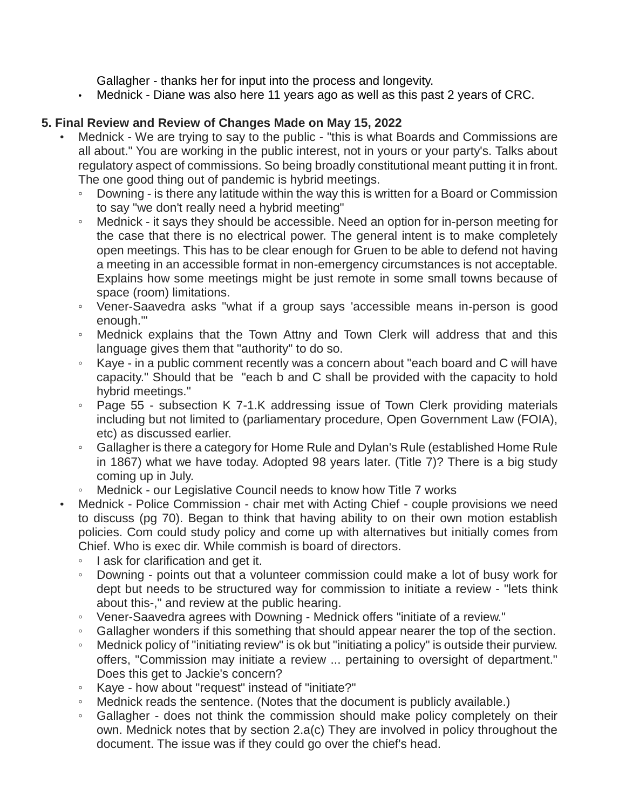Gallagher - thanks her for input into the process and longevity.

• Mednick - Diane was also here 11 years ago as well as this past 2 years of CRC.

## **5. Final Review and Review of Changes Made on May 15, 2022**

- Mednick We are trying to say to the public "this is what Boards and Commissions are all about." You are working in the public interest, not in yours or your party's. Talks about regulatory aspect of commissions. So being broadly constitutional meant putting it in front. The one good thing out of pandemic is hybrid meetings.
	- Downing is there any latitude within the way this is written for a Board or Commission to say "we don't really need a hybrid meeting"
	- Mednick it says they should be accessible. Need an option for in-person meeting for the case that there is no electrical power. The general intent is to make completely open meetings. This has to be clear enough for Gruen to be able to defend not having a meeting in an accessible format in non-emergency circumstances is not acceptable. Explains how some meetings might be just remote in some small towns because of space (room) limitations.
	- Vener-Saavedra asks "what if a group says 'accessible means in-person is good enough.'"
	- Mednick explains that the Town Attny and Town Clerk will address that and this language gives them that "authority" to do so.
	- Kaye in a public comment recently was a concern about "each board and C will have capacity." Should that be "each b and C shall be provided with the capacity to hold hybrid meetings."
	- Page 55 subsection K 7-1.K addressing issue of Town Clerk providing materials including but not limited to (parliamentary procedure, Open Government Law (FOIA), etc) as discussed earlier.
	- Gallagher is there a category for Home Rule and Dylan's Rule (established Home Rule in 1867) what we have today. Adopted 98 years later. (Title 7)? There is a big study coming up in July.
	- Mednick our Legislative Council needs to know how Title 7 works
- Mednick Police Commission chair met with Acting Chief couple provisions we need to discuss (pg 70). Began to think that having ability to on their own motion establish policies. Com could study policy and come up with alternatives but initially comes from Chief. Who is exec dir. While commish is board of directors.
	- I ask for clarification and get it.
	- Downing points out that a volunteer commission could make a lot of busy work for dept but needs to be structured way for commission to initiate a review - "lets think about this-," and review at the public hearing.
	- Vener-Saavedra agrees with Downing Mednick offers "initiate of a review."
	- Gallagher wonders if this something that should appear nearer the top of the section.
	- Mednick policy of "initiating review" is ok but "initiating a policy" is outside their purview. offers, "Commission may initiate a review ... pertaining to oversight of department." Does this get to Jackie's concern?
	- Kaye how about "request" instead of "initiate?"
	- Mednick reads the sentence. (Notes that the document is publicly available.)
	- Gallagher does not think the commission should make policy completely on their own. Mednick notes that by section 2.a(c) They are involved in policy throughout the document. The issue was if they could go over the chief's head.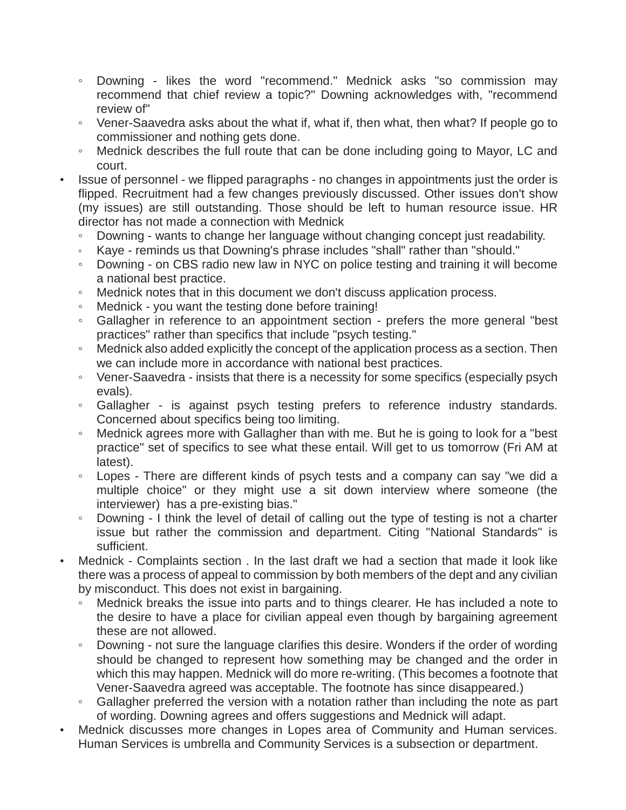- Downing likes the word "recommend." Mednick asks "so commission may recommend that chief review a topic?" Downing acknowledges with, "recommend review of"
- Vener-Saavedra asks about the what if, what if, then what, then what? If people go to commissioner and nothing gets done.
- Mednick describes the full route that can be done including going to Mayor, LC and court.
- Issue of personnel we flipped paragraphs no changes in appointments just the order is flipped. Recruitment had a few changes previously discussed. Other issues don't show (my issues) are still outstanding. Those should be left to human resource issue. HR director has not made a connection with Mednick
	- Downing wants to change her language without changing concept just readability.
	- Kaye reminds us that Downing's phrase includes "shall" rather than "should."
	- Downing on CBS radio new law in NYC on police testing and training it will become a national best practice.
	- Mednick notes that in this document we don't discuss application process.
	- Mednick you want the testing done before training!
	- Gallagher in reference to an appointment section prefers the more general "best practices" rather than specifics that include "psych testing."
	- Mednick also added explicitly the concept of the application process as a section. Then we can include more in accordance with national best practices.
	- Vener-Saavedra insists that there is a necessity for some specifics (especially psych evals).
	- Gallagher is against psych testing prefers to reference industry standards. Concerned about specifics being too limiting.
	- Mednick agrees more with Gallagher than with me. But he is going to look for a "best practice" set of specifics to see what these entail. Will get to us tomorrow (Fri AM at latest).
	- Lopes There are different kinds of psych tests and a company can say "we did a multiple choice" or they might use a sit down interview where someone (the interviewer) has a pre-existing bias."
	- Downing I think the level of detail of calling out the type of testing is not a charter issue but rather the commission and department. Citing "National Standards" is sufficient.
- Mednick Complaints section . In the last draft we had a section that made it look like there was a process of appeal to commission by both members of the dept and any civilian by misconduct. This does not exist in bargaining.
	- Mednick breaks the issue into parts and to things clearer. He has included a note to the desire to have a place for civilian appeal even though by bargaining agreement these are not allowed.
	- Downing not sure the language clarifies this desire. Wonders if the order of wording should be changed to represent how something may be changed and the order in which this may happen. Mednick will do more re-writing. (This becomes a footnote that Vener-Saavedra agreed was acceptable. The footnote has since disappeared.)
	- Gallagher preferred the version with a notation rather than including the note as part of wording. Downing agrees and offers suggestions and Mednick will adapt.
- Mednick discusses more changes in Lopes area of Community and Human services. Human Services is umbrella and Community Services is a subsection or department.